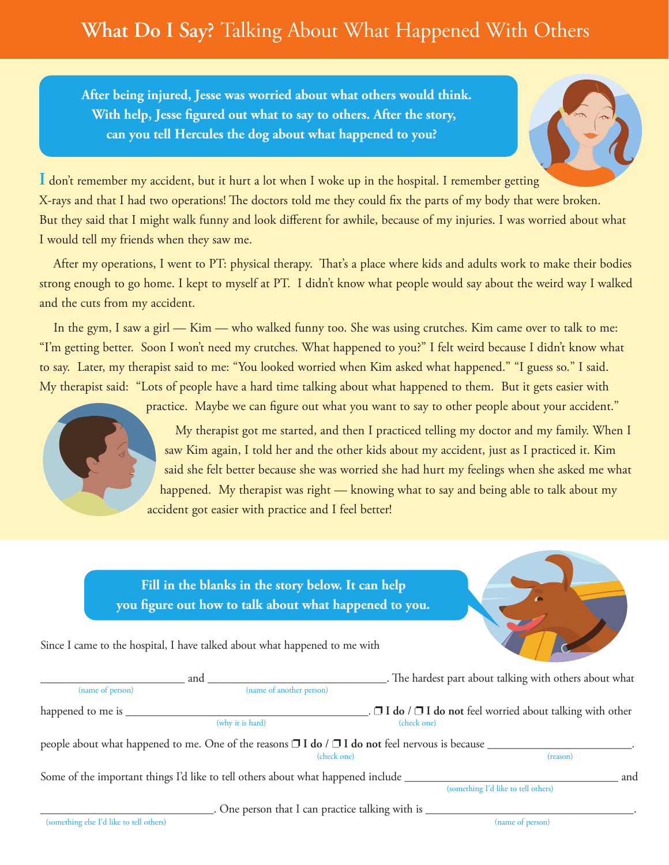## **What Do I Say?** Talking About What Happened With Others

**After being injured, Jesse was worried about what others would think. With help, Jesse gured out what to say to others. After the story, can you tell Hercules the dog about what happened to you?**



**I** don't remember my accident, but it hurt a lot when I woke up in the hospital. I remember getting X-rays and that I had two operations! The doctors told me they could fix the parts of my body that were broken. But they said that I might walk funny and look different for awhile, because of my injuries. I was worried about what I would tell my friends when they saw me.

After my operations, I went to PT: physical therapy. That's a place where kids and adults work to make their bodies strong enough to go home. I kept to myself at PT. I didn't know what people would say about the weird way I walked and the cuts from my accident.

In the gym, I saw a girl — Kim — who walked funny too. She was using crutches. Kim came over to talk to me: "I'm getting better. Soon I won't need my crutches. What happened to you?" I felt weird because I didn't know what to say. Later, my therapist said to me: "You looked worried when Kim asked what happened." "I guess so." I said. My therapist said: "Lots of people have a hard time talking about what happened to them. But it gets easier with



practice. Maybe we can figure out what you want to say to other people about your accident."

My therapist got me started, and then I practiced telling my doctor and my family. When I saw Kim again, I told her and the other kids about my accident, just as I practiced it. Kim said she felt better because she was worried she had hurt my feelings when she asked me what happened. My therapist was right — knowing what to say and being able to talk about my accident got easier with practice and I feel better!

|                                          |  | Fill in the blanks in the story below. It can help<br>you figure out how to talk about what happened to you.              |                  |                                                                     |
|------------------------------------------|--|---------------------------------------------------------------------------------------------------------------------------|------------------|---------------------------------------------------------------------|
|                                          |  | Since I came to the hospital, I have talked about what happened to me with                                                |                  |                                                                     |
| (name of person)                         |  | (name of another person)                                                                                                  |                  |                                                                     |
| happened to me is __                     |  | (why it is hard)                                                                                                          | (check one)      | $\Box$ I do / $\Box$ I do not feel worried about talking with other |
|                                          |  | people about what happened to me. One of the reasons $\Box$ I do / $\Box$ I do not feel nervous is because<br>(check one) |                  | (reason)                                                            |
|                                          |  | Some of the important things I'd like to tell others about what happened include ____                                     |                  | and<br>(something I'd like to tell others)                          |
|                                          |  |                                                                                                                           |                  |                                                                     |
| (something else I'd like to tell others) |  |                                                                                                                           | (name of person) |                                                                     |